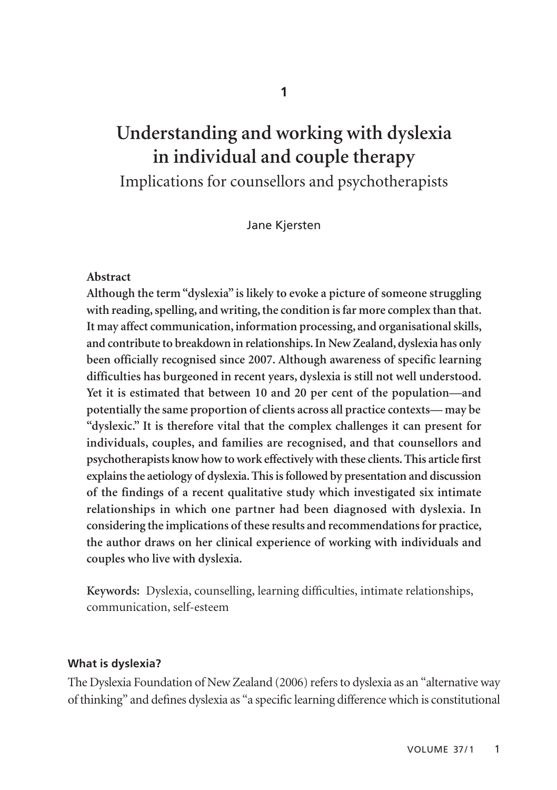# **Understanding and working with dyslexia in individual and couple therapy**  Implications for counsellors and psychotherapists

Jane Kjersten

#### **Abstract**

**Although the term "dyslexia" is likely to evoke a picture of someone struggling with reading, spelling, and writing, the condition is far more complex than that. It may affect communication, information processing, and organisational skills, and contribute to breakdown in relationships. In New Zealand, dyslexia has only been officially recognised since 2007. Although awareness of specific learning difficulties has burgeoned in recent years, dyslexia is still not well understood. Yet it is estimated that between 10 and 20 per cent of the population—and potentially the same proportion of clients across all practice contexts— may be "dyslexic." It is therefore vital that the complex challenges it can present for individuals, couples, and families are recognised, and that counsellors and psychotherapists know how to work effectively with these clients. This article first explains the aetiology of dyslexia. This is followed by presentation and discussion of the findings of a recent qualitative study which investigated six intimate relationships in which one partner had been diagnosed with dyslexia. In considering the implications of these results and recommendations for practice, the author draws on her clinical experience of working with individuals and couples who live with dyslexia.**

**Keywords:** Dyslexia, counselling, learning difficulties, intimate relationships, communication, self-esteem

#### **What is dyslexia?**

The Dyslexia Foundation of New Zealand (2006) refers to dyslexia as an "alternative way of thinking" and defines dyslexia as "a specific learning difference which is constitutional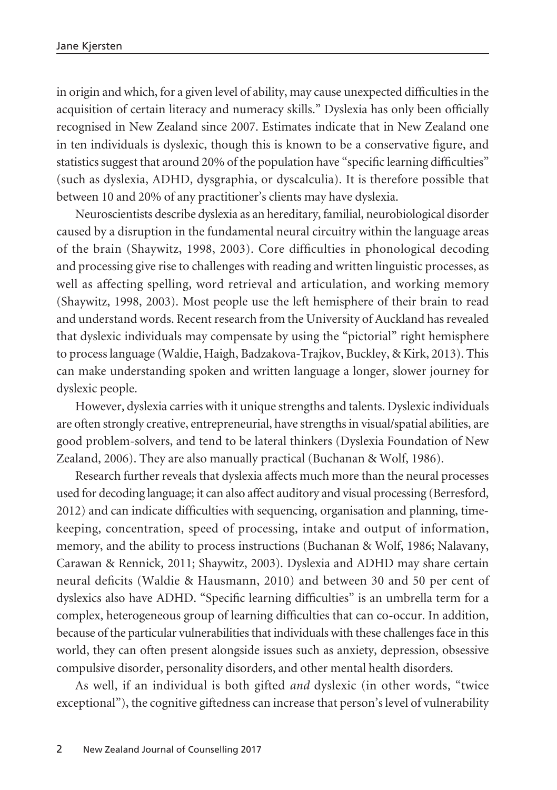in origin and which, for a given level of ability, may cause unexpected difficulties in the acquisition of certain literacy and numeracy skills." Dyslexia has only been officially recognised in New Zealand since 2007. Estimates indicate that in New Zealand one in ten individuals is dyslexic, though this is known to be a conservative figure, and statistics suggest that around 20% of the population have "specific learning difficulties" (such as dyslexia, ADHD, dysgraphia, or dyscalculia). It is therefore possible that between 10 and 20% of any practitioner's clients may have dyslexia.

Neuroscientists describe dyslexia as an hereditary, familial, neurobiological disorder caused by a disruption in the fundamental neural circuitry within the language areas of the brain (Shaywitz, 1998, 2003). Core difficulties in phonological decoding and processing give rise to challenges with reading and written linguistic processes, as well as affecting spelling, word retrieval and articulation, and working memory (Shaywitz, 1998, 2003). Most people use the left hemisphere of their brain to read and understand words. Recent research from the University of Auckland has revealed that dyslexic individuals may compensate by using the "pictorial" right hemisphere to process language (Waldie, Haigh, Badzakova-Trajkov, Buckley, & Kirk, 2013). This can make understanding spoken and written language a longer, slower journey for dyslexic people.

However, dyslexia carries with it unique strengths and talents. Dyslexic individuals are often strongly creative, entrepreneurial, have strengths in visual/spatial abilities, are good problem-solvers, and tend to be lateral thinkers (Dyslexia Foundation of New Zealand, 2006). They are also manually practical (Buchanan & Wolf, 1986).

Research further reveals that dyslexia affects much more than the neural processes used for decoding language; it can also affect auditory and visual processing (Berresford, 2012) and can indicate difficulties with sequencing, organisation and planning, timekeeping, concentration, speed of processing, intake and output of information, memory, and the ability to process instructions (Buchanan & Wolf, 1986; Nalavany, Carawan & Rennick, 2011; Shaywitz, 2003). Dyslexia and ADHD may share certain neural deficits (Waldie & Hausmann, 2010) and between 30 and 50 per cent of dyslexics also have ADHD. "Specific learning difficulties" is an umbrella term for a complex, heterogeneous group of learning difficulties that can co-occur. In addition, because of the particular vulnerabilities that individuals with these challenges face in this world, they can often present alongside issues such as anxiety, depression, obsessive compulsive disorder, personality disorders, and other mental health disorders.

As well, if an individual is both gifted *and* dyslexic (in other words, "twice exceptional"), the cognitive giftedness can increase that person's level of vulnerability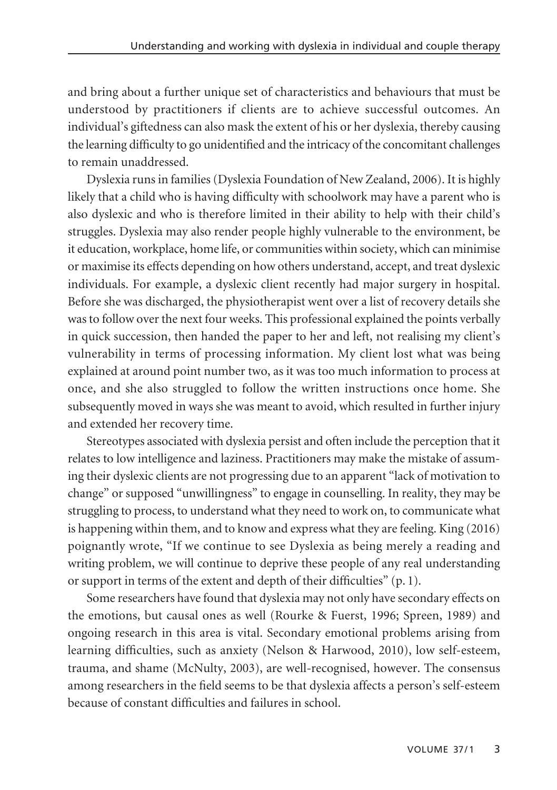and bring about a further unique set of characteristics and behaviours that must be understood by practitioners if clients are to achieve successful outcomes. An individual's giftedness can also mask the extent of his or her dyslexia, thereby causing the learning difficulty to go unidentified and the intricacy of the concomitant challenges to remain unaddressed.

Dyslexia runs in families (Dyslexia Foundation of New Zealand, 2006). It is highly likely that a child who is having difficulty with schoolwork may have a parent who is also dyslexic and who is therefore limited in their ability to help with their child's struggles. Dyslexia may also render people highly vulnerable to the environment, be it education, workplace, home life, or communities within society, which can minimise or maximise its effects depending on how others understand, accept, and treat dyslexic individuals. For example, a dyslexic client recently had major surgery in hospital. Before she was discharged, the physiotherapist went over a list of recovery details she was to follow over the next four weeks. This professional explained the points verbally in quick succession, then handed the paper to her and left, not realising my client's vulnerability in terms of processing information. My client lost what was being explained at around point number two, as it was too much information to process at once, and she also struggled to follow the written instructions once home. She subsequently moved in ways she was meant to avoid, which resulted in further injury and extended her recovery time.

Stereotypes associated with dyslexia persist and often include the perception that it relates to low intelligence and laziness. Practitioners may make the mistake of assuming their dyslexic clients are not progressing due to an apparent "lack of motivation to change" or supposed "unwillingness" to engage in counselling. In reality, they may be struggling to process, to understand what they need to work on, to communicate what is happening within them, and to know and express what they are feeling. King (2016) poignantly wrote, "If we continue to see Dyslexia as being merely a reading and writing problem, we will continue to deprive these people of any real understanding or support in terms of the extent and depth of their difficulties" (p. 1).

Some researchers have found that dyslexia may not only have secondary effects on the emotions, but causal ones as well (Rourke & Fuerst, 1996; Spreen, 1989) and ongoing research in this area is vital. Secondary emotional problems arising from learning difficulties, such as anxiety (Nelson & Harwood, 2010), low self-esteem, trauma, and shame (McNulty, 2003), are well-recognised, however. The consensus among researchers in the field seems to be that dyslexia affects a person's self-esteem because of constant difficulties and failures in school.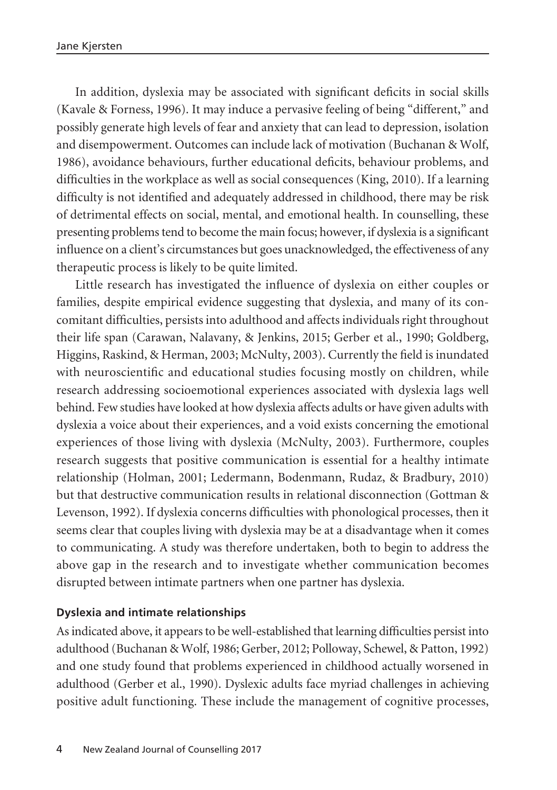In addition, dyslexia may be associated with significant deficits in social skills (Kavale & Forness, 1996). It may induce a pervasive feeling of being "different," and possibly generate high levels of fear and anxiety that can lead to depression, isolation and disempowerment. Outcomes can include lack of motivation (Buchanan & Wolf, 1986), avoidance behaviours, further educational deficits, behaviour problems, and difficulties in the workplace as well as social consequences (King, 2010). If a learning difficulty is not identified and adequately addressed in childhood, there may be risk of detrimental effects on social, mental, and emotional health. In counselling, these presenting problems tend to become the main focus; however, if dyslexia is a significant influence on a client's circumstances but goes unacknowledged, the effectiveness of any therapeutic process is likely to be quite limited.

Little research has investigated the influence of dyslexia on either couples or families, despite empirical evidence suggesting that dyslexia, and many of its concomitant difficulties, persists into adulthood and affects individuals right throughout their life span (Carawan, Nalavany, & Jenkins, 2015; Gerber et al., 1990; Goldberg, Higgins, Raskind, & Herman, 2003; McNulty, 2003). Currently the field is inundated with neuroscientific and educational studies focusing mostly on children, while research addressing socioemotional experiences associated with dyslexia lags well behind. Few studies have looked at how dyslexia affects adults or have given adults with dyslexia a voice about their experiences, and a void exists concerning the emotional experiences of those living with dyslexia (McNulty, 2003). Furthermore, couples research suggests that positive communication is essential for a healthy intimate relationship (Holman, 2001; Ledermann, Bodenmann, Rudaz, & Bradbury, 2010) but that destructive communication results in relational disconnection (Gottman & Levenson, 1992). If dyslexia concerns difficulties with phonological processes, then it seems clear that couples living with dyslexia may be at a disadvantage when it comes to communicating. A study was therefore undertaken, both to begin to address the above gap in the research and to investigate whether communication becomes disrupted between intimate partners when one partner has dyslexia.

# **Dyslexia and intimate relationships**

As indicated above, it appears to be well-established that learning difficulties persist into adulthood (Buchanan & Wolf, 1986; Gerber, 2012; Polloway, Schewel, & Patton, 1992) and one study found that problems experienced in childhood actually worsened in adulthood (Gerber et al., 1990). Dyslexic adults face myriad challenges in achieving positive adult functioning. These include the management of cognitive processes,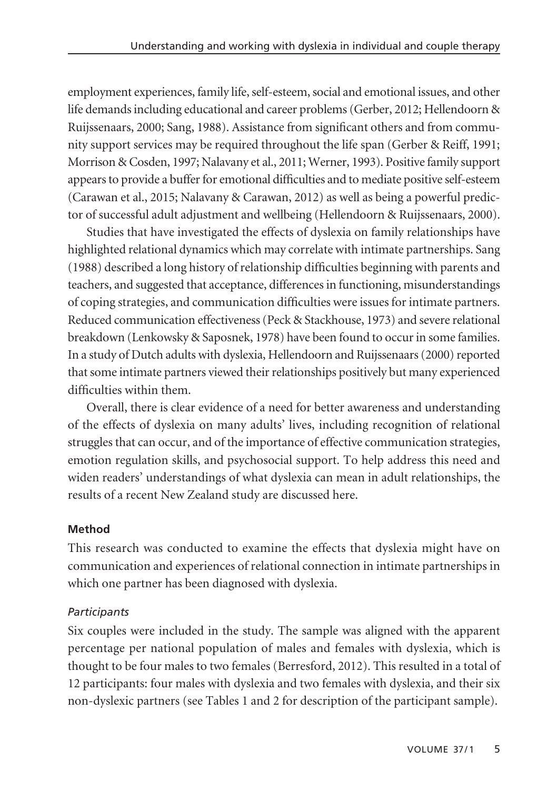employment experiences, family life, self-esteem, social and emotional issues, and other life demands including educational and career problems (Gerber, 2012; Hellendoorn & Ruijssenaars, 2000; Sang, 1988). Assistance from significant others and from community support services may be required throughout the life span (Gerber & Reiff, 1991; Morrison & Cosden, 1997; Nalavany et al., 2011; Werner, 1993). Positive family support appears to provide a buffer for emotional difficulties and to mediate positive self-esteem (Carawan et al., 2015; Nalavany & Carawan, 2012) as well as being a powerful predictor of successful adult adjustment and wellbeing (Hellendoorn & Ruijssenaars, 2000).

Studies that have investigated the effects of dyslexia on family relationships have highlighted relational dynamics which may correlate with intimate partnerships. Sang (1988) described a long history of relationship difficulties beginning with parents and teachers, and suggested that acceptance, differences in functioning, misunderstandings of coping strategies, and communication difficulties were issues for intimate partners. Reduced communication effectiveness (Peck & Stackhouse, 1973) and severe relational breakdown (Lenkowsky & Saposnek, 1978) have been found to occur in some families. In a study of Dutch adults with dyslexia, Hellendoorn and Ruijssenaars (2000) reported that some intimate partners viewed their relationships positively but many experienced difficulties within them.

Overall, there is clear evidence of a need for better awareness and understanding of the effects of dyslexia on many adults' lives, including recognition of relational struggles that can occur, and of the importance of effective communication strategies, emotion regulation skills, and psychosocial support. To help address this need and widen readers' understandings of what dyslexia can mean in adult relationships, the results of a recent New Zealand study are discussed here.

# **Method**

This research was conducted to examine the effects that dyslexia might have on communication and experiences of relational connection in intimate partnerships in which one partner has been diagnosed with dyslexia.

# *Participants*

Six couples were included in the study. The sample was aligned with the apparent percentage per national population of males and females with dyslexia, which is thought to be four males to two females (Berresford, 2012). This resulted in a total of 12 participants: four males with dyslexia and two females with dyslexia, and their six non-dyslexic partners (see Tables 1 and 2 for description of the participant sample).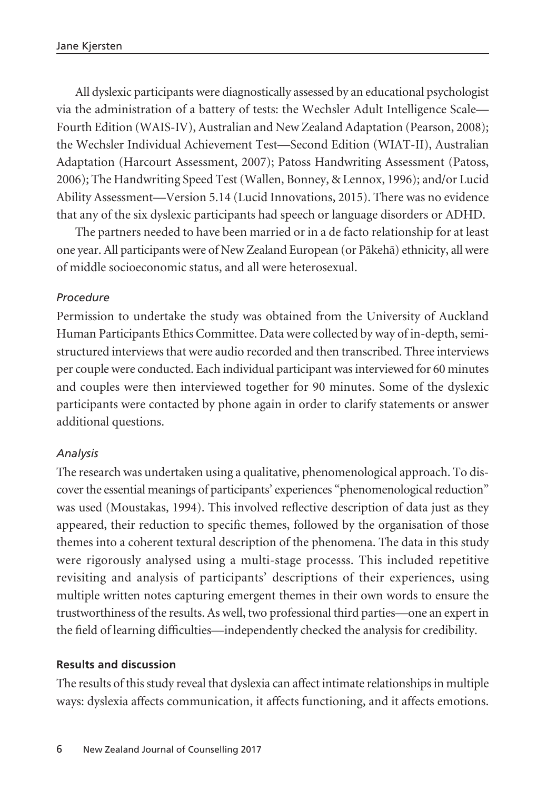All dyslexic participants were diagnostically assessed by an educational psychologist via the administration of a battery of tests: the Wechsler Adult Intelligence Scale— Fourth Edition (WAIS-IV), Australian and New Zealand Adaptation (Pearson, 2008); the Wechsler Individual Achievement Test—Second Edition (WIAT-II), Australian Adaptation (Harcourt Assessment, 2007); Patoss Handwriting Assessment (Patoss, 2006); The Handwriting Speed Test (Wallen, Bonney, & Lennox, 1996); and/or Lucid Ability Assessment—Version 5.14 (Lucid Innovations, 2015). There was no evidence that any of the six dyslexic participants had speech or language disorders or ADHD.

The partners needed to have been married or in a de facto relationship for at least one year. All participants were of New Zealand European (or Päkehä) ethnicity, all were of middle socioeconomic status, and all were heterosexual.

## *Procedure*

Permission to undertake the study was obtained from the University of Auckland Human Participants Ethics Committee. Data were collected by way of in-depth, semistructured interviews that were audio recorded and then transcribed. Three interviews per couple were conducted. Each individual participant was interviewed for 60 minutes and couples were then interviewed together for 90 minutes. Some of the dyslexic participants were contacted by phone again in order to clarify statements or answer additional questions.

#### *Analysis*

The research was undertaken using a qualitative, phenomenological approach. To discover the essential meanings of participants' experiences "phenomenological reduction" was used (Moustakas, 1994). This involved reflective description of data just as they appeared, their reduction to specific themes, followed by the organisation of those themes into a coherent textural description of the phenomena. The data in this study were rigorously analysed using a multi-stage processs. This included repetitive revisiting and analysis of participants' descriptions of their experiences, using multiple written notes capturing emergent themes in their own words to ensure the trustworthiness of the results. As well, two professional third parties—one an expert in the field of learning difficulties—independently checked the analysis for credibility.

#### **Results and discussion**

The results of this study reveal that dyslexia can affect intimate relationships in multiple ways: dyslexia affects communication, it affects functioning, and it affects emotions.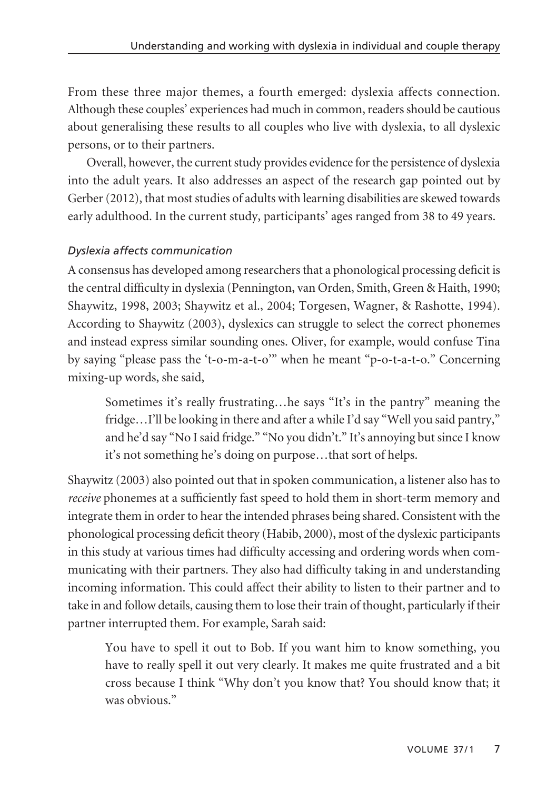From these three major themes, a fourth emerged: dyslexia affects connection. Although these couples' experiences had much in common, readers should be cautious about generalising these results to all couples who live with dyslexia, to all dyslexic persons, or to their partners.

Overall, however, the current study provides evidence for the persistence of dyslexia into the adult years. It also addresses an aspect of the research gap pointed out by Gerber (2012), that most studies of adults with learning disabilities are skewed towards early adulthood. In the current study, participants' ages ranged from 38 to 49 years.

# *Dyslexia affects communication*

A consensus has developed among researchers that a phonological processing deficit is the central difficulty in dyslexia (Pennington, van Orden, Smith, Green & Haith, 1990; Shaywitz, 1998, 2003; Shaywitz et al., 2004; Torgesen, Wagner, & Rashotte, 1994). According to Shaywitz (2003), dyslexics can struggle to select the correct phonemes and instead express similar sounding ones. Oliver, for example, would confuse Tina by saying "please pass the 't-o-m-a-t-o'" when he meant "p-o-t-a-t-o." Concerning mixing-up words, she said,

Sometimes it's really frustrating…he says "It's in the pantry" meaning the fridge…I'll be looking in there and after a while I'd say "Well you said pantry," and he'd say "No I said fridge." "No you didn't." It's annoying but since I know it's not something he's doing on purpose…that sort of helps.

Shaywitz (2003) also pointed out that in spoken communication, a listener also has to *receive* phonemes at a sufficiently fast speed to hold them in short-term memory and integrate them in order to hear the intended phrases being shared. Consistent with the phonological processing deficit theory (Habib, 2000), most of the dyslexic participants in this study at various times had difficulty accessing and ordering words when communicating with their partners. They also had difficulty taking in and understanding incoming information. This could affect their ability to listen to their partner and to take in and follow details, causing them to lose their train of thought, particularly if their partner interrupted them. For example, Sarah said:

You have to spell it out to Bob. If you want him to know something, you have to really spell it out very clearly. It makes me quite frustrated and a bit cross because I think "Why don't you know that? You should know that; it was obvious."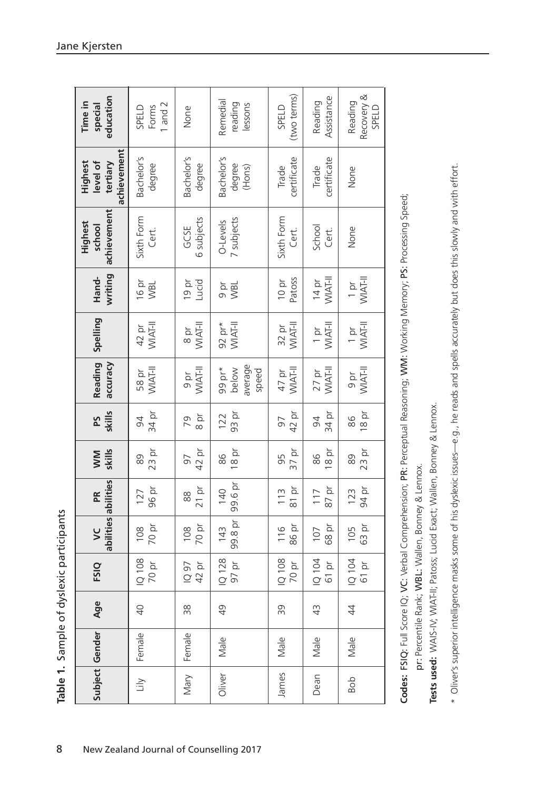| education<br>Time in<br>special<br>achievement<br>Highest<br>level of<br>tertiary<br>achievement<br>Highest<br>school |
|-----------------------------------------------------------------------------------------------------------------------|
|                                                                                                                       |
| Bachelor's<br>degree                                                                                                  |
| Bachelor's<br>degree<br>Sixth Form<br>GCSE<br>Cert.                                                                   |
| 6 subjects<br>O-Levels                                                                                                |
| 16 pr<br>Lucid<br>$19p$ r<br>a<br>NBL<br><b>NBL</b><br>WIAT-II                                                        |
| 42 pr<br>WIAT-II<br>WIAT-II<br>$92$ pr*<br>$\frac{8}{10}$                                                             |
| WIAT-II<br>WIAT-II<br>58 pr<br>b<br>D                                                                                 |
| 34 pr<br>94                                                                                                           |
| $23$ pr<br>89                                                                                                         |
| 127                                                                                                                   |
|                                                                                                                       |
|                                                                                                                       |
|                                                                                                                       |
|                                                                                                                       |
|                                                                                                                       |

| č<br>م<br>Sc                                                                                                      |        |
|-------------------------------------------------------------------------------------------------------------------|--------|
| ١<br>i<br>ļ                                                                                                       |        |
| ֦֦֦֖֦֦֖֖֖֖֖֖֖֖֖֖֖֖֖֧֦֧֧֚֚֚֚֚֚֚֚֚֚֚֚֚֚֚֚֚֚֚֚֚֚֚֚֚֚֚֚֡֝֘֝֝֝֝֝֝֝֝֝֝֝֝֝֝֝֞֞֞֝֝֝֝֞֞֞֝֝<br>ミー・ミー<br>۔<br>دمام<br>,<br>I | j<br>į |

pr: Percentile Rank; WBL: Wallen, Bonney & Lennox.

Tests used: WAIS-IV; WIAT-II; Patoss; Lucid Exact; Wallen, Bonney & Lennox. **Tests used:** WAIS-IV; WIAT-II; Patoss; Lucid Exact; Wallen, Bonney & Lennox. \* Oliver's superior intelligence masks some of his dyslexic issues—e.g., he reads and spells accurately but does this slowly and with effort. \* Oliver's superior intelligence masks some of his dyslexic issues—e.g., he reads and spells accurately but does this slowly and with effort.

**Table 1.** Sample of dyslexic participants

Table 1. Sample of dyslexic participants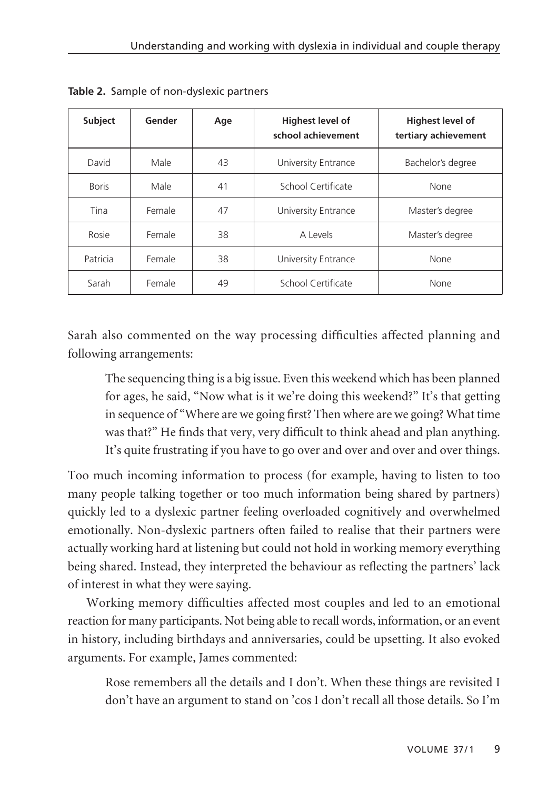| Subject      | Gender | Age | <b>Highest level of</b><br>school achievement | Highest level of<br>tertiary achievement |
|--------------|--------|-----|-----------------------------------------------|------------------------------------------|
| David        | Male   | 43  | University Entrance                           | Bachelor's degree                        |
| <b>Boris</b> | Male   | 41  | School Certificate                            | None                                     |
| Tina         | Female | 47  | University Entrance                           | Master's degree                          |
| Rosie        | Female | 38  | A Levels                                      | Master's degree                          |
| Patricia     | Female | 38  | University Entrance                           | None                                     |
| Sarah        | Female | 49  | School Certificate                            | None                                     |

**Table 2.** Sample of non-dyslexic partners

Sarah also commented on the way processing difficulties affected planning and following arrangements:

The sequencing thing is a big issue. Even this weekend which has been planned for ages, he said, "Now what is it we're doing this weekend?" It's that getting in sequence of "Where are we going first? Then where are we going? What time was that?" He finds that very, very difficult to think ahead and plan anything. It's quite frustrating if you have to go over and over and over and over things.

Too much incoming information to process (for example, having to listen to too many people talking together or too much information being shared by partners) quickly led to a dyslexic partner feeling overloaded cognitively and overwhelmed emotionally. Non-dyslexic partners often failed to realise that their partners were actually working hard at listening but could not hold in working memory everything being shared. Instead, they interpreted the behaviour as reflecting the partners' lack of interest in what they were saying.

Working memory difficulties affected most couples and led to an emotional reaction for many participants. Not being able to recall words, information, or an event in history, including birthdays and anniversaries, could be upsetting. It also evoked arguments. For example, James commented:

Rose remembers all the details and I don't. When these things are revisited I don't have an argument to stand on 'cos I don't recall all those details. So I'm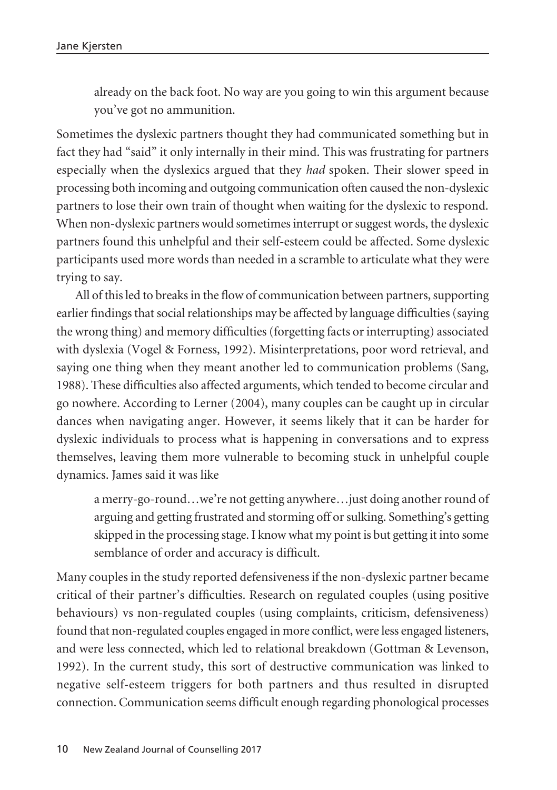already on the back foot. No way are you going to win this argument because you've got no ammunition.

Sometimes the dyslexic partners thought they had communicated something but in fact they had "said" it only internally in their mind. This was frustrating for partners especially when the dyslexics argued that they *had* spoken. Their slower speed in processing both incoming and outgoing communication often caused the non-dyslexic partners to lose their own train of thought when waiting for the dyslexic to respond. When non-dyslexic partners would sometimes interrupt or suggest words, the dyslexic partners found this unhelpful and their self-esteem could be affected. Some dyslexic participants used more words than needed in a scramble to articulate what they were trying to say.

All of this led to breaks in the flow of communication between partners, supporting earlier findings that social relationships may be affected by language difficulties (saying the wrong thing) and memory difficulties (forgetting facts or interrupting) associated with dyslexia (Vogel & Forness, 1992). Misinterpretations, poor word retrieval, and saying one thing when they meant another led to communication problems (Sang, 1988). These difficulties also affected arguments, which tended to become circular and go nowhere. According to Lerner (2004), many couples can be caught up in circular dances when navigating anger. However, it seems likely that it can be harder for dyslexic individuals to process what is happening in conversations and to express themselves, leaving them more vulnerable to becoming stuck in unhelpful couple dynamics. James said it was like

a merry-go-round…we're not getting anywhere…just doing another round of arguing and getting frustrated and storming off or sulking. Something's getting skipped in the processing stage. I know what my point is but getting it into some semblance of order and accuracy is difficult.

Many couples in the study reported defensiveness if the non-dyslexic partner became critical of their partner's difficulties. Research on regulated couples (using positive behaviours) vs non-regulated couples (using complaints, criticism, defensiveness) found that non-regulated couples engaged in more conflict, were less engaged listeners, and were less connected, which led to relational breakdown (Gottman & Levenson, 1992). In the current study, this sort of destructive communication was linked to negative self-esteem triggers for both partners and thus resulted in disrupted connection. Communication seems difficult enough regarding phonological processes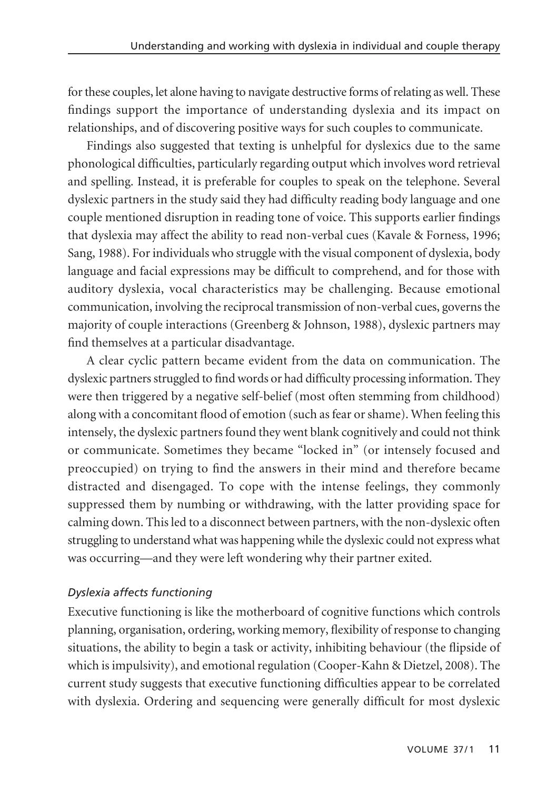for these couples, let alone having to navigate destructive forms of relating as well. These findings support the importance of understanding dyslexia and its impact on relationships, and of discovering positive ways for such couples to communicate.

Findings also suggested that texting is unhelpful for dyslexics due to the same phonological difficulties, particularly regarding output which involves word retrieval and spelling. Instead, it is preferable for couples to speak on the telephone. Several dyslexic partners in the study said they had difficulty reading body language and one couple mentioned disruption in reading tone of voice. This supports earlier findings that dyslexia may affect the ability to read non-verbal cues (Kavale & Forness, 1996; Sang, 1988). For individuals who struggle with the visual component of dyslexia, body language and facial expressions may be difficult to comprehend, and for those with auditory dyslexia, vocal characteristics may be challenging. Because emotional communication, involving the reciprocal transmission of non-verbal cues, governs the majority of couple interactions (Greenberg & Johnson, 1988), dyslexic partners may find themselves at a particular disadvantage.

A clear cyclic pattern became evident from the data on communication. The dyslexic partners struggled to find words or had difficulty processing information. They were then triggered by a negative self-belief (most often stemming from childhood) along with a concomitant flood of emotion (such as fear or shame). When feeling this intensely, the dyslexic partners found they went blank cognitively and could not think or communicate. Sometimes they became "locked in" (or intensely focused and preoccupied) on trying to find the answers in their mind and therefore became distracted and disengaged. To cope with the intense feelings, they commonly suppressed them by numbing or withdrawing, with the latter providing space for calming down. This led to a disconnect between partners, with the non-dyslexic often struggling to understand what was happening while the dyslexic could not express what was occurring—and they were left wondering why their partner exited.

## *Dyslexia affects functioning*

Executive functioning is like the motherboard of cognitive functions which controls planning, organisation, ordering, working memory, flexibility of response to changing situations, the ability to begin a task or activity, inhibiting behaviour (the flipside of which is impulsivity), and emotional regulation (Cooper-Kahn & Dietzel, 2008). The current study suggests that executive functioning difficulties appear to be correlated with dyslexia. Ordering and sequencing were generally difficult for most dyslexic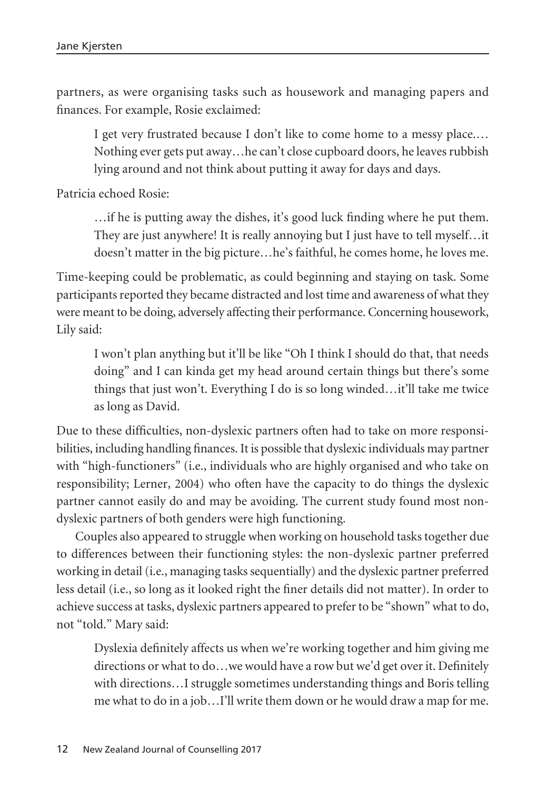partners, as were organising tasks such as housework and managing papers and finances. For example, Rosie exclaimed:

I get very frustrated because I don't like to come home to a messy place.… Nothing ever gets put away…he can't close cupboard doors, he leaves rubbish lying around and not think about putting it away for days and days.

Patricia echoed Rosie:

…if he is putting away the dishes, it's good luck finding where he put them. They are just anywhere! It is really annoying but I just have to tell myself…it doesn't matter in the big picture…he's faithful, he comes home, he loves me.

Time-keeping could be problematic, as could beginning and staying on task. Some participants reported they became distracted and lost time and awareness of what they were meant to be doing, adversely affecting their performance. Concerning housework, Lily said:

I won't plan anything but it'll be like "Oh I think I should do that, that needs doing" and I can kinda get my head around certain things but there's some things that just won't. Everything I do is so long winded…it'll take me twice as long as David.

Due to these difficulties, non-dyslexic partners often had to take on more responsi bilities, including handling finances. It is possible that dyslexic individuals may partner with "high-functioners" (i.e., individuals who are highly organised and who take on responsibility; Lerner, 2004) who often have the capacity to do things the dyslexic partner cannot easily do and may be avoiding. The current study found most nondyslexic partners of both genders were high functioning.

Couples also appeared to struggle when working on household tasks together due to differences between their functioning styles: the non-dyslexic partner preferred working in detail (i.e., managing tasks sequentially) and the dyslexic partner preferred less detail (i.e., so long as it looked right the finer details did not matter). In order to achieve success at tasks, dyslexic partners appeared to prefer to be "shown" what to do, not "told." Mary said:

Dyslexia definitely affects us when we're working together and him giving me directions or what to do…we would have a row but we'd get over it. Definitely with directions…I struggle sometimes understanding things and Boris telling me what to do in a job…I'll write them down or he would draw a map for me.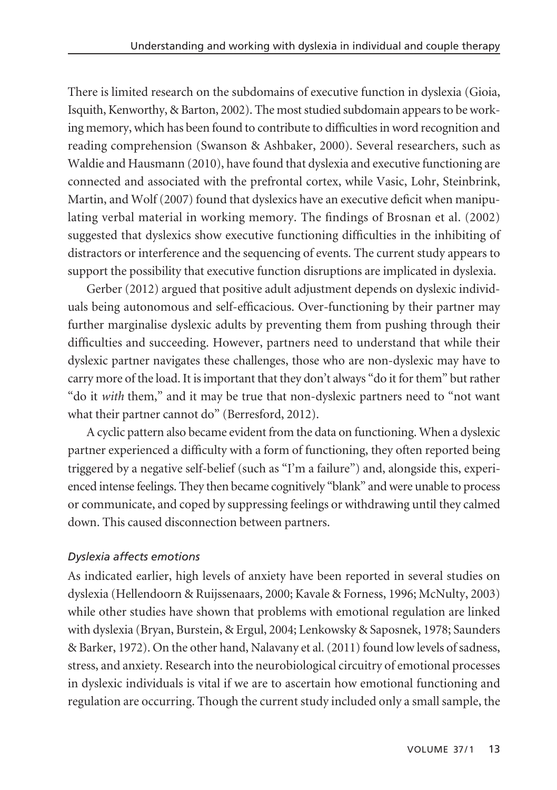There is limited research on the subdomains of executive function in dyslexia (Gioia, Isquith, Kenworthy, & Barton, 2002). The most studied subdomain appears to be working memory, which has been found to contribute to difficulties in word recognition and reading comprehension (Swanson & Ashbaker, 2000). Several researchers, such as Waldie and Hausmann (2010), have found that dyslexia and executive functioning are connected and associated with the prefrontal cortex, while Vasic, Lohr, Steinbrink, Martin, and Wolf (2007) found that dyslexics have an executive deficit when manipulating verbal material in working memory. The findings of Brosnan et al. (2002) suggested that dyslexics show executive functioning difficulties in the inhibiting of distractors or interference and the sequencing of events. The current study appears to support the possibility that executive function disruptions are implicated in dyslexia.

Gerber (2012) argued that positive adult adjustment depends on dyslexic individuals being autonomous and self-efficacious. Over-functioning by their partner may further marginalise dyslexic adults by preventing them from pushing through their difficulties and succeeding. However, partners need to understand that while their dyslexic partner navigates these challenges, those who are non-dyslexic may have to carry more of the load. It is important that they don't always "do it for them" but rather "do it *with* them," and it may be true that non-dyslexic partners need to "not want what their partner cannot do" (Berresford, 2012).

A cyclic pattern also became evident from the data on functioning. When a dyslexic partner experienced a difficulty with a form of functioning, they often reported being triggered by a negative self-belief (such as "I'm a failure") and, alongside this, experienced intense feelings. They then became cognitively "blank" and were unable to process or communicate, and coped by suppressing feelings or withdrawing until they calmed down. This caused disconnection between partners.

# *Dyslexia affects emotions*

As indicated earlier, high levels of anxiety have been reported in several studies on dyslexia (Hellendoorn & Ruijssenaars, 2000; Kavale & Forness, 1996; McNulty, 2003) while other studies have shown that problems with emotional regulation are linked with dyslexia (Bryan, Burstein, & Ergul, 2004; Lenkowsky & Saposnek, 1978; Saunders & Barker, 1972). On the other hand, Nalavany et al. (2011) found low levels of sadness, stress, and anxiety. Research into the neurobiological circuitry of emotional processes in dyslexic individuals is vital if we are to ascertain how emotional functioning and regulation are occurring. Though the current study included only a small sample, the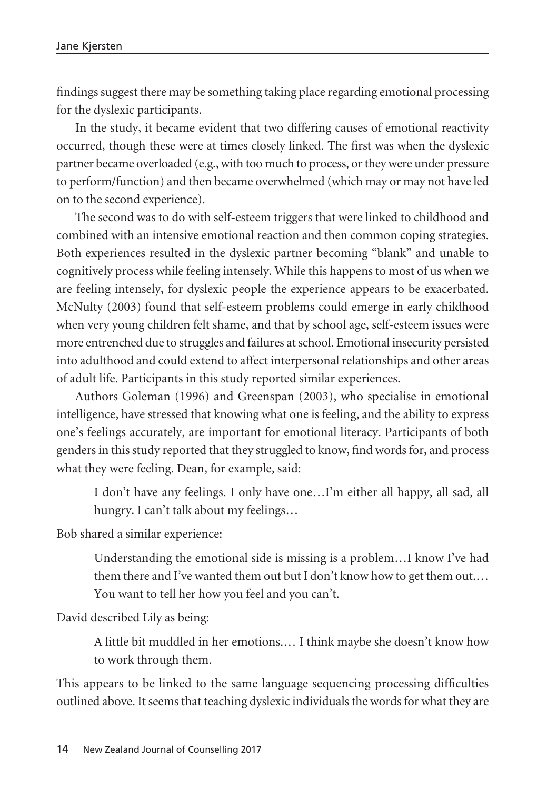findings suggest there may be something taking place regarding emotional processing for the dyslexic participants.

In the study, it became evident that two differing causes of emotional reactivity occurred, though these were at times closely linked. The first was when the dyslexic partner became overloaded (e.g., with too much to process, or they were under pressure to perform/function) and then became overwhelmed (which may or may not have led on to the second experience).

The second was to do with self-esteem triggers that were linked to childhood and combined with an intensive emotional reaction and then common coping strategies. Both experiences resulted in the dyslexic partner becoming "blank" and unable to cognitively process while feeling intensely. While this happens to most of us when we are feeling intensely, for dyslexic people the experience appears to be exacerbated. McNulty (2003) found that self-esteem problems could emerge in early childhood when very young children felt shame, and that by school age, self-esteem issues were more entrenched due to struggles and failures at school. Emotional insecurity persisted into adulthood and could extend to affect interpersonal relationships and other areas of adult life. Participants in this study reported similar experiences.

Authors Goleman (1996) and Greenspan (2003), who specialise in emotional intelligence, have stressed that knowing what one is feeling, and the ability to express one's feelings accurately, are important for emotional literacy. Participants of both genders in this study reported that they struggled to know, find words for, and process what they were feeling. Dean, for example, said:

I don't have any feelings. I only have one…I'm either all happy, all sad, all hungry. I can't talk about my feelings…

Bob shared a similar experience:

Understanding the emotional side is missing is a problem…I know I've had them there and I've wanted them out but I don't know how to get them out.… You want to tell her how you feel and you can't.

David described Lily as being:

A little bit muddled in her emotions.… I think maybe she doesn't know how to work through them.

This appears to be linked to the same language sequencing processing difficulties outlined above. It seems that teaching dyslexic individuals the words for what they are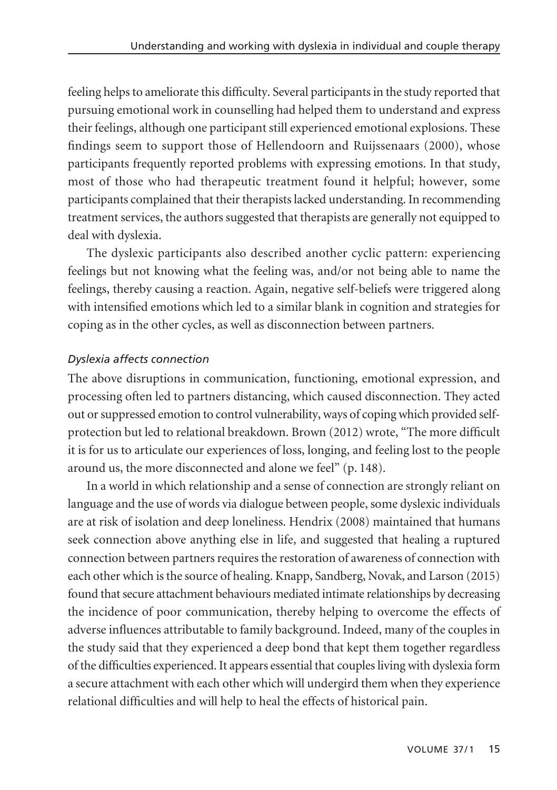feeling helps to ameliorate this difficulty. Several participants in the study reported that pursuing emotional work in counselling had helped them to understand and express their feelings, although one participant still experienced emotional explosions. These findings seem to support those of Hellendoorn and Ruijssenaars (2000), whose participants frequently reported problems with expressing emotions. In that study, most of those who had therapeutic treatment found it helpful; however, some participants complained that their therapists lacked understanding. In recommending treatment services, the authors suggested that therapists are generally not equipped to deal with dyslexia.

The dyslexic participants also described another cyclic pattern: experiencing feelings but not knowing what the feeling was, and/or not being able to name the feelings, thereby causing a reaction. Again, negative self-beliefs were triggered along with intensified emotions which led to a similar blank in cognition and strategies for coping as in the other cycles, as well as disconnection between partners.

## *Dyslexia affects connection*

The above disruptions in communication, functioning, emotional expression, and processing often led to partners distancing, which caused disconnection. They acted out or suppressed emotion to control vulnerability, ways of coping which provided selfprotection but led to relational breakdown. Brown (2012) wrote, "The more difficult it is for us to articulate our experiences of loss, longing, and feeling lost to the people around us, the more disconnected and alone we feel" (p. 148).

In a world in which relationship and a sense of connection are strongly reliant on language and the use of words via dialogue between people, some dyslexic individuals are at risk of isolation and deep loneliness. Hendrix (2008) maintained that humans seek connection above anything else in life, and suggested that healing a ruptured connection between partners requires the restoration of awareness of connection with each other which is the source of healing. Knapp, Sandberg, Novak, and Larson (2015) found that secure attachment behaviours mediated intimate relationships by decreasing the incidence of poor communication, thereby helping to overcome the effects of adverse influences attributable to family background. Indeed, many of the couples in the study said that they experienced a deep bond that kept them together regardless of the difficulties experienced. It appears essential that couples living with dyslexia form a secure attachment with each other which will undergird them when they experience relational difficulties and will help to heal the effects of historical pain.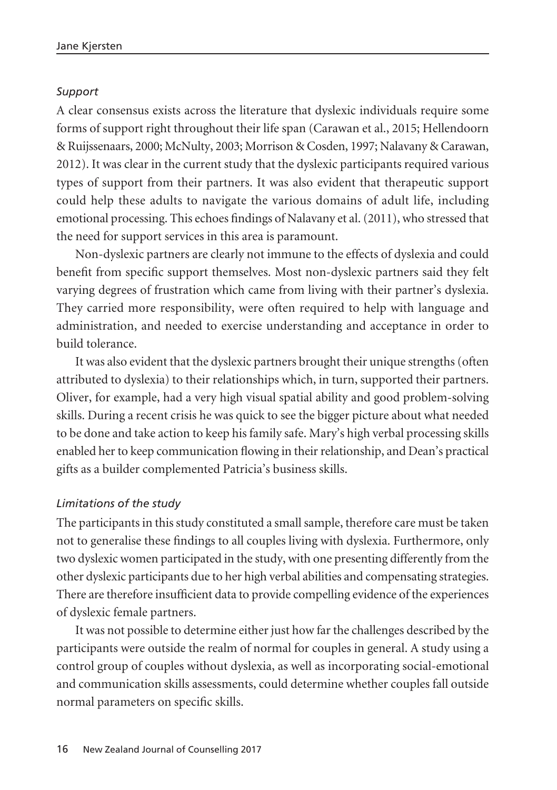#### *Support*

A clear consensus exists across the literature that dyslexic individuals require some forms of support right throughout their life span (Carawan et al., 2015; Hellendoorn & Ruijssenaars, 2000; McNulty, 2003; Morrison & Cosden, 1997; Nalavany & Carawan, 2012). It was clear in the current study that the dyslexic participants required various types of support from their partners. It was also evident that therapeutic support could help these adults to navigate the various domains of adult life, including emotional processing. This echoes findings of Nalavany et al. (2011), who stressed that the need for support services in this area is paramount.

Non-dyslexic partners are clearly not immune to the effects of dyslexia and could benefit from specific support themselves. Most non-dyslexic partners said they felt varying degrees of frustration which came from living with their partner's dyslexia. They carried more responsibility, were often required to help with language and administration, and needed to exercise understanding and acceptance in order to build tolerance.

It was also evident that the dyslexic partners brought their unique strengths (often attributed to dyslexia) to their relationships which, in turn, supported their partners. Oliver, for example, had a very high visual spatial ability and good problem-solving skills. During a recent crisis he was quick to see the bigger picture about what needed to be done and take action to keep his family safe. Mary's high verbal processing skills enabled her to keep communication flowing in their relationship, and Dean's practical gifts as a builder complemented Patricia's business skills.

#### *Limitations of the study*

The participants in this study constituted a small sample, therefore care must be taken not to generalise these findings to all couples living with dyslexia. Furthermore, only two dyslexic women participated in the study, with one presenting differently from the other dyslexic participants due to her high verbal abilities and compensating strategies. There are therefore insufficient data to provide compelling evidence of the experiences of dyslexic female partners.

It was not possible to determine either just how far the challenges described by the participants were outside the realm of normal for couples in general. A study using a control group of couples without dyslexia, as well as incorporating social-emotional and communication skills assessments, could determine whether couples fall outside normal parameters on specific skills.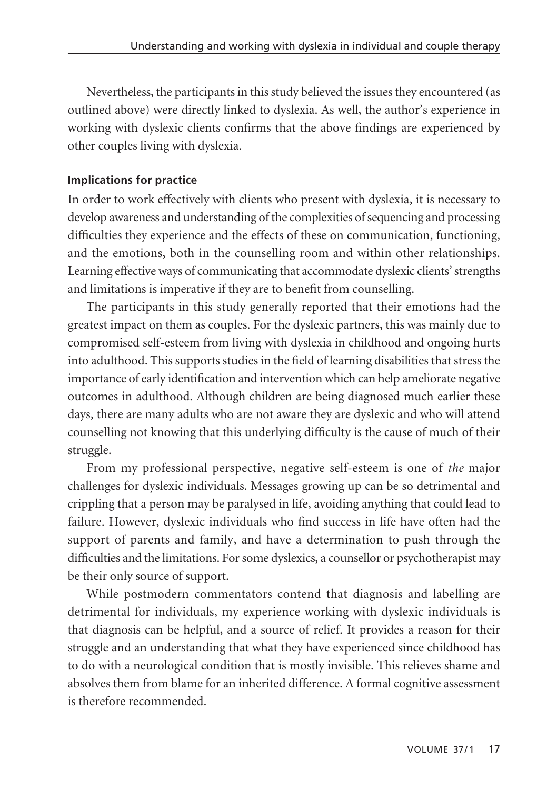Nevertheless, the participants in this study believed the issues they encountered (as outlined above) were directly linked to dyslexia. As well, the author's experience in working with dyslexic clients confirms that the above findings are experienced by other couples living with dyslexia.

## **Implications for practice**

In order to work effectively with clients who present with dyslexia, it is necessary to develop awareness and understanding of the complexities of sequencing and processing difficulties they experience and the effects of these on communication, functioning, and the emotions, both in the counselling room and within other relationships. Learning effective ways of communicating that accommodate dyslexic clients' strengths and limitations is imperative if they are to benefit from counselling.

The participants in this study generally reported that their emotions had the greatest impact on them as couples. For the dyslexic partners, this was mainly due to compromised self-esteem from living with dyslexia in childhood and ongoing hurts into adulthood. This supports studies in the field of learning disabilities that stress the importance of early identification and intervention which can help ameliorate negative outcomes in adulthood. Although children are being diagnosed much earlier these days, there are many adults who are not aware they are dyslexic and who will attend counselling not knowing that this underlying difficulty is the cause of much of their struggle.

From my professional perspective, negative self-esteem is one of *the* major challenges for dyslexic individuals. Messages growing up can be so detrimental and crippling that a person may be paralysed in life, avoiding anything that could lead to failure. However, dyslexic individuals who find success in life have often had the support of parents and family, and have a determination to push through the difficulties and the limitations. For some dyslexics, a counsellor or psychotherapist may be their only source of support.

While postmodern commentators contend that diagnosis and labelling are detrimental for individuals, my experience working with dyslexic individuals is that diagnosis can be helpful, and a source of relief. It provides a reason for their struggle and an understanding that what they have experienced since childhood has to do with a neurological condition that is mostly invisible. This relieves shame and absolves them from blame for an inherited difference. A formal cognitive assessment is therefore recommended.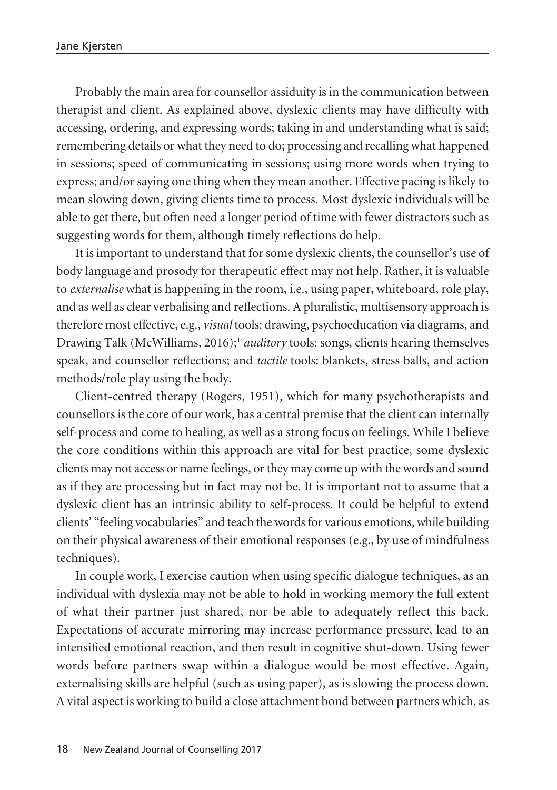Probably the main area for counsellor assiduity is in the communication between therapist and client. As explained above, dyslexic clients may have difficulty with accessing, ordering, and expressing words; taking in and understanding what is said; remembering details or what they need to do; processing and recalling what happened in sessions; speed of communicating in sessions; using more words when trying to express; and/or saying one thing when they mean another. Effective pacing is likely to mean slowing down, giving clients time to process. Most dyslexic individuals will be able to get there, but often need a longer period of time with fewer distractors such as suggesting words for them, although timely reflections do help.

It is important to understand that for some dyslexic clients, the counsellor's use of body language and prosody for therapeutic effect may not help. Rather, it is valuable to *externalise* what is happening in the room, i.e., using paper, whiteboard, role play, and as well as clear verbalising and reflections. A pluralistic, multisensory approach is therefore most effective, e.g., *visual* tools: drawing, psychoeducation via diagrams, and Drawing Talk (McWilliams, 2016);<sup>1</sup> *auditory* tools: songs, clients hearing themselves speak, and counsellor reflections; and *tactile* tools: blankets, stress balls, and action methods/role play using the body.

Client-centred therapy (Rogers, 1951), which for many psychotherapists and counsellors is the core of our work, has a central premise that the client can internally self-process and come to healing, as well as a strong focus on feelings. While I believe the core conditions within this approach are vital for best practice, some dyslexic clients may not access or name feelings, or they may come up with the words and sound as if they are processing but in fact may not be. It is important not to assume that a dyslexic client has an intrinsic ability to self-process. It could be helpful to extend clients' "feeling vocabularies" and teach the words for various emotions, while building on their physical awareness of their emotional responses (e.g., by use of mindfulness techniques).

In couple work, I exercise caution when using specific dialogue techniques, as an individual with dyslexia may not be able to hold in working memory the full extent of what their partner just shared, nor be able to adequately reflect this back. Expectations of accurate mirroring may increase performance pressure, lead to an intensified emotional reaction, and then result in cognitive shut-down. Using fewer words before partners swap within a dialogue would be most effective. Again, externalising skills are helpful (such as using paper), as is slowing the process down. A vital aspect is working to build a close attachment bond between partners which, as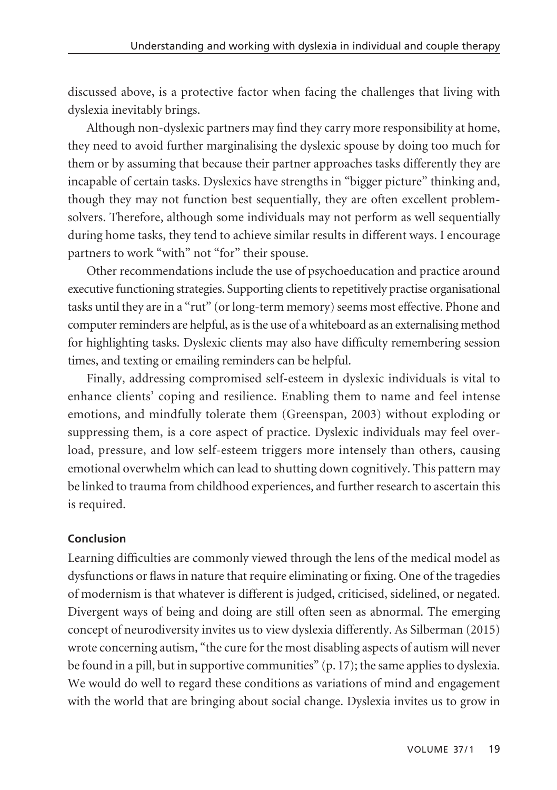discussed above, is a protective factor when facing the challenges that living with dyslexia inevitably brings.

Although non-dyslexic partners may find they carry more responsibility at home, they need to avoid further marginalising the dyslexic spouse by doing too much for them or by assuming that because their partner approaches tasks differently they are incapable of certain tasks. Dyslexics have strengths in "bigger picture" thinking and, though they may not function best sequentially, they are often excellent problemsolvers. Therefore, although some individuals may not perform as well sequentially during home tasks, they tend to achieve similar results in different ways. I encourage partners to work "with" not "for" their spouse.

Other recommendations include the use of psychoeducation and practice around executive functioning strategies. Supporting clients to repetitively practise organisational tasks until they are in a "rut" (or long-term memory) seems most effective. Phone and computer reminders are helpful, as is the use of a whiteboard as an externalising method for highlighting tasks. Dyslexic clients may also have difficulty remembering session times, and texting or emailing reminders can be helpful.

Finally, addressing compromised self-esteem in dyslexic individuals is vital to enhance clients' coping and resilience. Enabling them to name and feel intense emotions, and mindfully tolerate them (Greenspan, 2003) without exploding or suppressing them, is a core aspect of practice. Dyslexic individuals may feel overload, pressure, and low self-esteem triggers more intensely than others, causing emotional overwhelm which can lead to shutting down cognitively. This pattern may be linked to trauma from childhood experiences, and further research to ascertain this is required.

#### **Conclusion**

Learning difficulties are commonly viewed through the lens of the medical model as dysfunctions or flaws in nature that require eliminating or fixing. One of the tragedies of modernism is that whatever is different is judged, criticised, sidelined, or negated. Divergent ways of being and doing are still often seen as abnormal. The emerging concept of neurodiversity invites us to view dyslexia differently. As Silberman (2015) wrote concerning autism, "the cure for the most disabling aspects of autism will never be found in a pill, but in supportive communities" (p. 17); the same applies to dyslexia. We would do well to regard these conditions as variations of mind and engagement with the world that are bringing about social change. Dyslexia invites us to grow in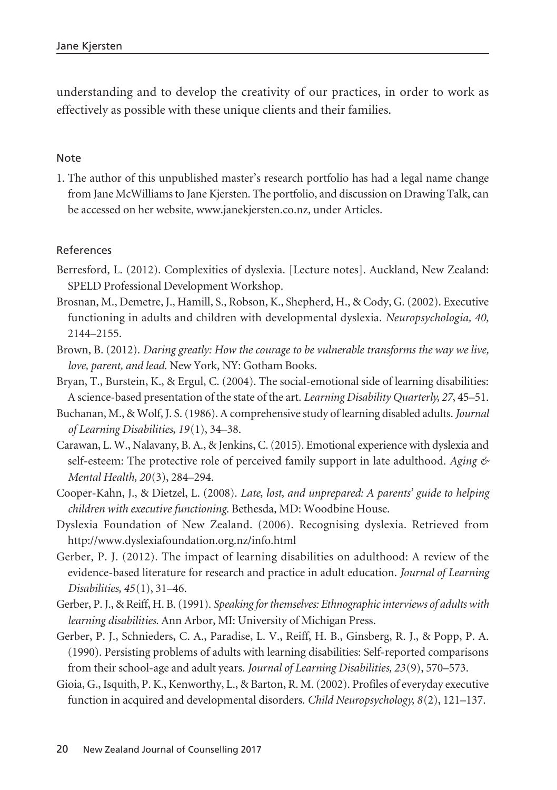understanding and to develop the creativity of our practices, in order to work as effectively as possible with these unique clients and their families.

#### Note

1. The author of this unpublished master's research portfolio has had a legal name change from Jane McWilliams to Jane Kjersten. The portfolio, and discussion on Drawing Talk, can be accessed on her website, www.janekjersten.co.nz, under Articles.

#### References

- Berresford, L. (2012). Complexities of dyslexia. [Lecture notes]. Auckland, New Zealand: SPELD Professional Development Workshop.
- Brosnan, M., Demetre, J., Hamill, S., Robson, K., Shepherd, H., & Cody, G. (2002). Executive functioning in adults and children with developmental dyslexia. *Neuropsychologia, 40*, 2144–2155.
- Brown, B. (2012). *Daring greatly: How the courage to be vulnerable transforms the way we live, love, parent, and lead*. New York, NY: Gotham Books.
- Bryan, T., Burstein, K., & Ergul, C. (2004). The social-emotional side of learning disabilities: A science-based presentation of the state of the art. *Learning Disability Quarterly, 27*, 45–51.
- Buchanan, M., & Wolf, J. S. (1986). A comprehensive study of learning disabled adults. *Journal of Learning Disabilities, 19*(1), 34–38.
- Carawan, L. W., Nalavany, B. A., & Jenkins, C. (2015). Emotional experience with dyslexia and self-esteem: The protective role of perceived family support in late adulthood. *Aging & Mental Health, 20*(3), 284–294.
- Cooper-Kahn, J., & Dietzel, L. (2008). *Late, lost, and unprepared: A parents' guide to helping children with executive functioning*. Bethesda, MD: Woodbine House.
- Dyslexia Foundation of New Zealand. (2006). Recognising dyslexia. Retrieved from http://www.dyslexiafoundation.org.nz/info.html
- Gerber, P. J. (2012). The impact of learning disabilities on adulthood: A review of the evidence-based literature for research and practice in adult education. *Journal of Learning Disabilities, 45*(1), 31–46.
- Gerber, P. J., & Reiff, H. B. (1991). *Speaking for themselves: Ethnographic interviews of adults with learning disabilities*. Ann Arbor, MI: University of Michigan Press.
- Gerber, P. J., Schnieders, C. A., Paradise, L. V., Reiff, H. B., Ginsberg, R. J., & Popp, P. A. (1990). Persisting problems of adults with learning disabilities: Self-reported comparisons from their school-age and adult years. *Journal of Learning Disabilities, 23*(9), 570–573.
- Gioia, G., Isquith, P. K., Kenworthy, L., & Barton, R. M. (2002). Profiles of everyday executive function in acquired and developmental disorders. *Child Neuropsychology, 8*(2), 121–137.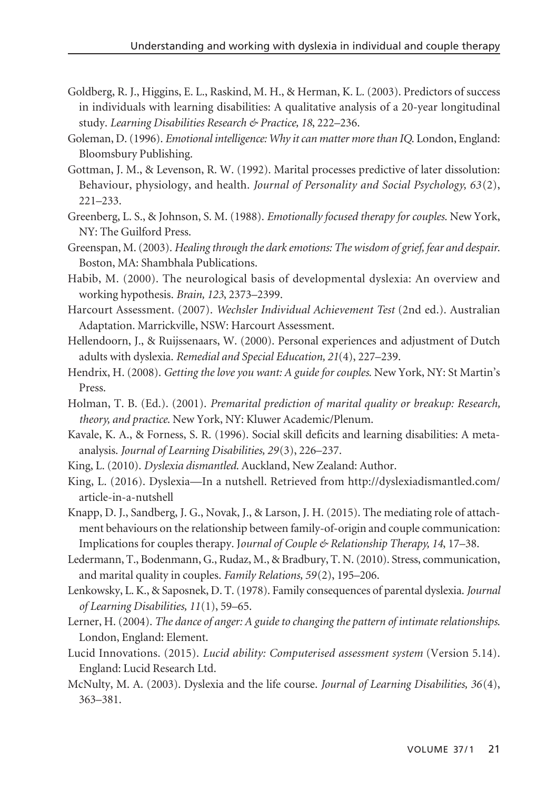- Goldberg, R. J., Higgins, E. L., Raskind, M. H., & Herman, K. L. (2003). Predictors of success in individuals with learning disabilities: A qualitative analysis of a 20-year longitudinal study. *Learning Disabilities Research & Practice, 18*, 222–236.
- Goleman, D. (1996). *Emotional intelligence: Why it can matter more than IQ*. London, England: Bloomsbury Publishing.
- Gottman, J. M., & Levenson, R. W. (1992). Marital processes predictive of later dissolution: Behaviour, physiology, and health. *Journal of Personality and Social Psychology, 63*(2), 221–233.
- Greenberg, L. S., & Johnson, S. M. (1988). *Emotionally focused therapy for couples*. New York, NY: The Guilford Press.
- Greenspan, M. (2003). *Healing through the dark emotions: The wisdom of grief, fear and despair*. Boston, MA: Shambhala Publications.
- Habib, M. (2000). The neurological basis of developmental dyslexia: An overview and working hypothesis. *Brain, 123*, 2373–2399.
- Harcourt Assessment. (2007). *Wechsler Individual Achievement Test* (2nd ed.). Australian Adaptation. Marrickville, NSW: Harcourt Assessment.
- Hellendoorn, J., & Ruijssenaars, W. (2000). Personal experiences and adjustment of Dutch adults with dyslexia. *Remedial and Special Education, 21*(4), 227–239.
- Hendrix, H. (2008). *Getting the love you want: A guide for couples*. New York, NY: St Martin's Press.
- Holman, T. B. (Ed.). (2001). *Premarital prediction of marital quality or breakup: Research, theory, and practice*. New York, NY: Kluwer Academic/Plenum.
- Kavale, K. A., & Forness, S. R. (1996). Social skill deficits and learning disabilities: A metaanalysis. *Journal of Learning Disabilities, 29*(3), 226–237.
- King, L. (2010). *Dyslexia dismantled*. Auckland, New Zealand: Author.
- King, L. (2016). Dyslexia—In a nutshell. Retrieved from http://dyslexiadismantled.com/ article-in-a-nutshell
- Knapp, D. J., Sandberg, J. G., Novak, J., & Larson, J. H. (2015). The mediating role of attachment behaviours on the relationship between family-of-origin and couple communication: Implications for couples therapy. J*ournal of Couple & Relationship Therapy, 14*, 17–38.
- Ledermann, T., Bodenmann, G., Rudaz, M., & Bradbury, T. N. (2010). Stress, communication, and marital quality in couples. *Family Relations, 59*(2), 195–206.
- Lenkowsky, L. K., & Saposnek, D. T. (1978). Family consequences of parental dyslexia. *Journal of Learning Disabilities, 11*(1), 59–65.
- Lerner, H. (2004). *The dance of anger: A guide to changing the pattern of intimate relationships*. London, England: Element.
- Lucid Innovations. (2015). *Lucid ability: Computerised assessment system* (Version 5.14). England: Lucid Research Ltd.
- McNulty, M. A. (2003). Dyslexia and the life course. *Journal of Learning Disabilities, 36*(4), 363–381.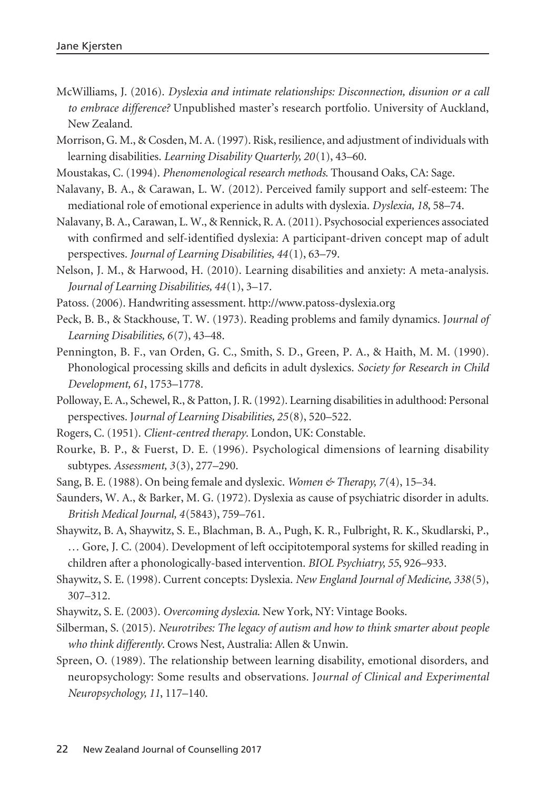- McWilliams, J. (2016). *Dyslexia and intimate relationships: Disconnection, disunion or a call to embrace difference?* Unpublished master's research portfolio. University of Auckland, New Zealand.
- Morrison, G. M., & Cosden, M. A. (1997). Risk, resilience, and adjustment of individuals with learning disabilities. *Learning Disability Quarterly, 20*(1), 43–60.
- Moustakas, C. (1994). *Phenomenological research methods*. Thousand Oaks, CA: Sage.
- Nalavany, B. A., & Carawan, L. W. (2012). Perceived family support and self-esteem: The mediational role of emotional experience in adults with dyslexia. *Dyslexia, 18*, 58–74.
- Nalavany, B. A., Carawan, L. W., & Rennick, R. A. (2011). Psychosocial experiences associated with confirmed and self-identified dyslexia: A participant-driven concept map of adult perspectives. *Journal of Learning Disabilities, 44*(1), 63–79.
- Nelson, J. M., & Harwood, H. (2010). Learning disabilities and anxiety: A meta-analysis. *Journal of Learning Disabilities, 44*(1), 3–17.
- Patoss. (2006). Handwriting assessment. http://www.patoss-dyslexia.org
- Peck, B. B., & Stackhouse, T. W. (1973). Reading problems and family dynamics. J*ournal of Learning Disabilities, 6*(7), 43–48.
- Pennington, B. F., van Orden, G. C., Smith, S. D., Green, P. A., & Haith, M. M. (1990). Phonological processing skills and deficits in adult dyslexics. *Society for Research in Child Development, 61*, 1753–1778.
- Polloway, E. A., Schewel, R., & Patton, J. R. (1992). Learning disabilities in adulthood: Personal perspectives. J*ournal of Learning Disabilities, 25*(8), 520–522.
- Rogers, C. (1951). *Client-centred therapy*. London, UK: Constable.
- Rourke, B. P., & Fuerst, D. E. (1996). Psychological dimensions of learning disability subtypes. *Assessment, 3*(3), 277–290.
- Sang, B. E. (1988). On being female and dyslexic. *Women & Therapy, 7*(4), 15–34.
- Saunders, W. A., & Barker, M. G. (1972). Dyslexia as cause of psychiatric disorder in adults. *British Medical Journal, 4*(5843), 759–761.
- Shaywitz, B. A, Shaywitz, S. E., Blachman, B. A., Pugh, K. R., Fulbright, R. K., Skudlarski, P., … Gore, J. C. (2004). Development of left occipitotemporal systems for skilled reading in children after a phonologically-based intervention. *BIOL Psychiatry, 55*, 926–933.
- Shaywitz, S. E. (1998). Current concepts: Dyslexia. *New England Journal of Medicine, 338*(5), 307–312.
- Shaywitz, S. E. (2003). *Overcoming dyslexia*. New York, NY: Vintage Books.
- Silberman, S. (2015). *Neurotribes: The legacy of autism and how to think smarter about people who think differently*. Crows Nest, Australia: Allen & Unwin.
- Spreen, O. (1989). The relationship between learning disability, emotional disorders, and neuropsychology: Some results and observations. J*ournal of Clinical and Experimental Neuropsychology, 11*, 117–140.